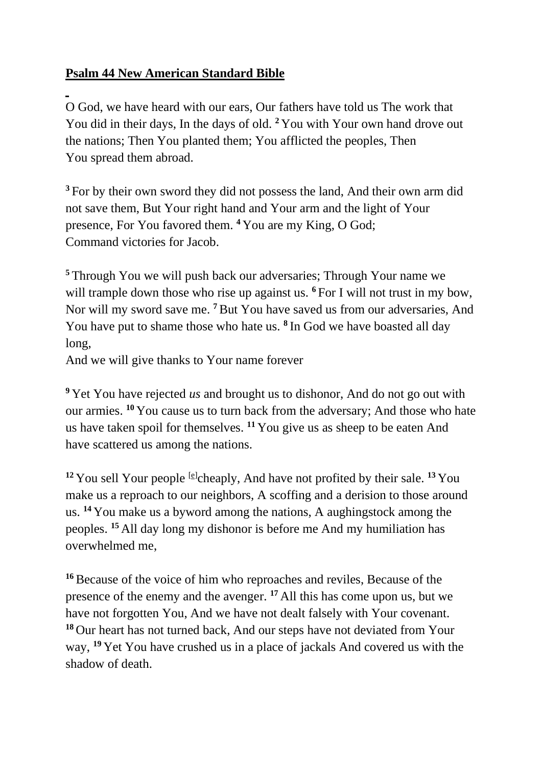## **Psalm 44 New American Standard Bible**

O God, we have heard with our ears, Our fathers have told us The work that You did in their days, In the days of old. **<sup>2</sup>** You with Your own hand drove out the nations; Then You planted them; You afflicted the peoples, Then You spread them abroad.

**<sup>3</sup>** For by their own sword they did not possess the land, And their own arm did not save them, But Your right hand and Your arm and the light of Your presence, For You favored them. **<sup>4</sup>** You are my King, O God; Command victories for Jacob.

**<sup>5</sup>** Through You we will push back our adversaries; Through Your name we will trample down those who rise up against us. <sup>6</sup> For I will not trust in my bow, Nor will my sword save me. **<sup>7</sup>**But You have saved us from our adversaries, And You have put to shame those who hate us. **<sup>8</sup>** In God we have boasted all day long,

And we will give thanks to Your name forever

**<sup>9</sup>** Yet You have rejected *us* and brought us to dishonor, And do not go out with our armies. **<sup>10</sup>** You cause us to turn back from the adversary; And those who hate us have taken spoil for themselves. **<sup>11</sup>** You give us as sheep to be eaten And have scattered us among the nations.

<sup>12</sup> You sell Your people  $[<sup>ε</sup>]$ cheaply, And have not profited by their sale. <sup>13</sup> You make us a reproach to our neighbors, A scoffing and a derision to those around us. **<sup>14</sup>** You make us a byword among the nations, A aughingstock among the peoples. **<sup>15</sup>** All day long my dishonor is before me And my humiliation has overwhelmed me,

**<sup>16</sup>**Because of the voice of him who reproaches and reviles, Because of the presence of the enemy and the avenger. **<sup>17</sup>** All this has come upon us, but we have not forgotten You, And we have not dealt falsely with Your covenant. **<sup>18</sup>** Our heart has not turned back, And our steps have not deviated from Your way, **<sup>19</sup>** Yet You have crushed us in a place of jackals And covered us with the shadow of death.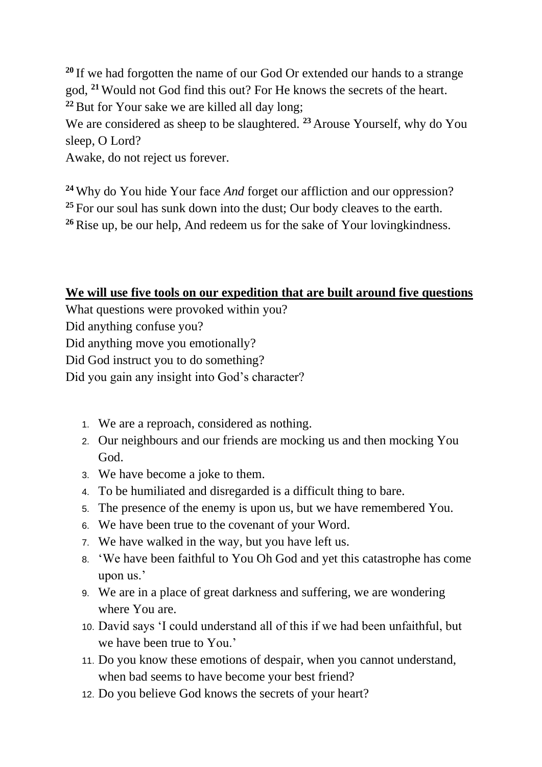**<sup>20</sup>** If we had forgotten the name of our God Or extended our hands to a strange god, **<sup>21</sup>** Would not God find this out? For He knows the secrets of the heart. **<sup>22</sup>**But for Your sake we are killed all day long;

We are considered as sheep to be slaughtered. **<sup>23</sup>** Arouse Yourself, why do You sleep, O Lord?

Awake, do not reject us forever.

**<sup>24</sup>** Why do You hide Your face *And* forget our affliction and our oppression? **<sup>25</sup>** For our soul has sunk down into the dust; Our body cleaves to the earth. **<sup>26</sup>**Rise up, be our help, And redeem us for the sake of Your lovingkindness.

## **We will use five tools on our expedition that are built around five questions**

What questions were provoked within you?

Did anything confuse you?

Did anything move you emotionally?

Did God instruct you to do something?

Did you gain any insight into God's character?

- 1. We are a reproach, considered as nothing.
- 2. Our neighbours and our friends are mocking us and then mocking You God.
- 3. We have become a joke to them.
- 4. To be humiliated and disregarded is a difficult thing to bare.
- 5. The presence of the enemy is upon us, but we have remembered You.
- 6. We have been true to the covenant of your Word.
- 7. We have walked in the way, but you have left us.
- 8. 'We have been faithful to You Oh God and yet this catastrophe has come upon us.'
- 9. We are in a place of great darkness and suffering, we are wondering where You are.
- 10. David says 'I could understand all of this if we had been unfaithful, but we have been true to You.'
- 11. Do you know these emotions of despair, when you cannot understand, when bad seems to have become your best friend?
- 12. Do you believe God knows the secrets of your heart?